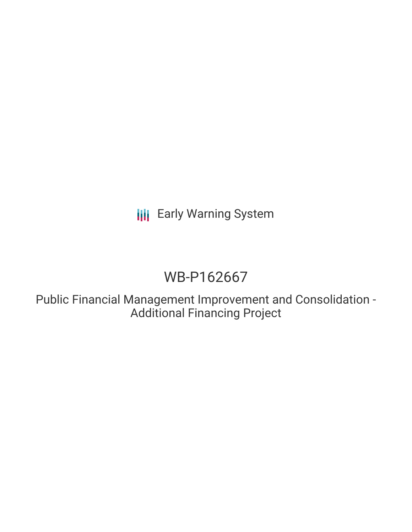**III** Early Warning System

# WB-P162667

Public Financial Management Improvement and Consolidation - Additional Financing Project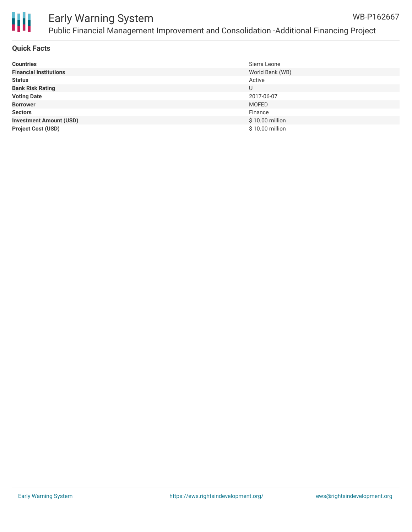

#### **Quick Facts**

| <b>Countries</b>               | Sierra Leone    |
|--------------------------------|-----------------|
| <b>Financial Institutions</b>  | World Bank (WB) |
| <b>Status</b>                  | Active          |
| <b>Bank Risk Rating</b>        | U               |
| <b>Voting Date</b>             | 2017-06-07      |
| <b>Borrower</b>                | <b>MOFED</b>    |
| <b>Sectors</b>                 | Finance         |
| <b>Investment Amount (USD)</b> | \$10.00 million |
| <b>Project Cost (USD)</b>      | \$10.00 million |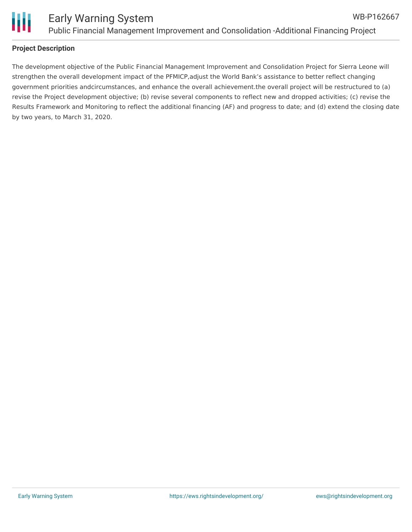

## **Project Description**

The development objective of the Public Financial Management Improvement and Consolidation Project for Sierra Leone will strengthen the overall development impact of the PFMICP,adjust the World Bank's assistance to better reflect changing government priorities andcircumstances, and enhance the overall achievement.the overall project will be restructured to (a) revise the Project development objective; (b) revise several components to reflect new and dropped activities; (c) revise the Results Framework and Monitoring to reflect the additional financing (AF) and progress to date; and (d) extend the closing date by two years, to March 31, 2020.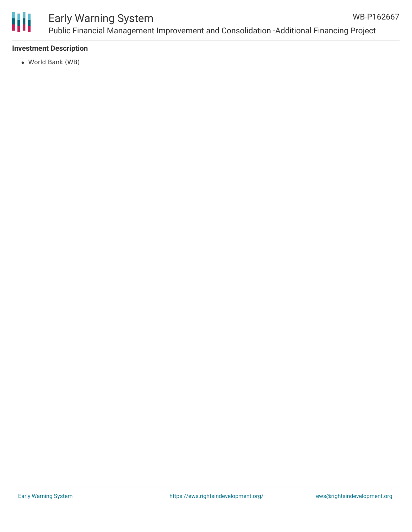

#### Early Warning System Public Financial Management Improvement and Consolidation -Additional Financing Project WB-P162667

#### **Investment Description**

World Bank (WB)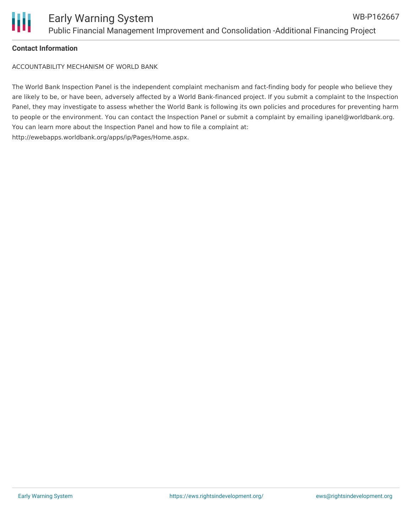

## **Contact Information**

ACCOUNTABILITY MECHANISM OF WORLD BANK

The World Bank Inspection Panel is the independent complaint mechanism and fact-finding body for people who believe they are likely to be, or have been, adversely affected by a World Bank-financed project. If you submit a complaint to the Inspection Panel, they may investigate to assess whether the World Bank is following its own policies and procedures for preventing harm to people or the environment. You can contact the Inspection Panel or submit a complaint by emailing ipanel@worldbank.org. You can learn more about the Inspection Panel and how to file a complaint at: http://ewebapps.worldbank.org/apps/ip/Pages/Home.aspx.